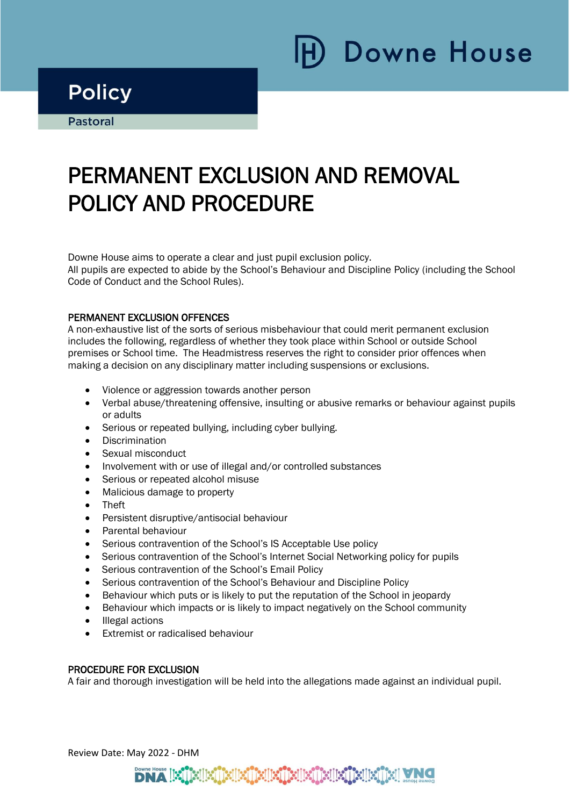# **Downe House**

### **Policy**

**Pastoral** 

i

Ī

## PERMANENT EXCLUSION AND REMOVAL POLICY AND PROCEDURE

Downe House aims to operate a clear and just pupil exclusion policy. All pupils are expected to abide by the School's Behaviour and Discipline Policy (including the School Code of Conduct and the School Rules).

### PERMANENT EXCLUSION OFFENCES

A non-exhaustive list of the sorts of serious misbehaviour that could merit permanent exclusion includes the following, regardless of whether they took place within School or outside School premises or School time. The Headmistress reserves the right to consider prior offences when making a decision on any disciplinary matter including suspensions or exclusions.

- Violence or aggression towards another person
- Verbal abuse/threatening offensive, insulting or abusive remarks or behaviour against pupils or adults
- Serious or repeated bullying, including cyber bullying.
- Discrimination
- Sexual misconduct
- Involvement with or use of illegal and/or controlled substances
- Serious or repeated alcohol misuse
- Malicious damage to property
- Theft
- Persistent disruptive/antisocial behaviour
- Parental behaviour
- Serious contravention of the School's IS Acceptable Use policy
- Serious contravention of the School's Internet Social Networking policy for pupils
- Serious contravention of the School's Email Policy
- Serious contravention of the School's Behaviour and Discipline Policy
- Behaviour which puts or is likely to put the reputation of the School in jeopardy
- Behaviour which impacts or is likely to impact negatively on the School community
- Illegal actions
- Extremist or radicalised behaviour

#### PROCEDURE FOR EXCLUSION

A fair and thorough investigation will be held into the allegations made against an individual pupil.

#### Review Date: May 2022 - DHM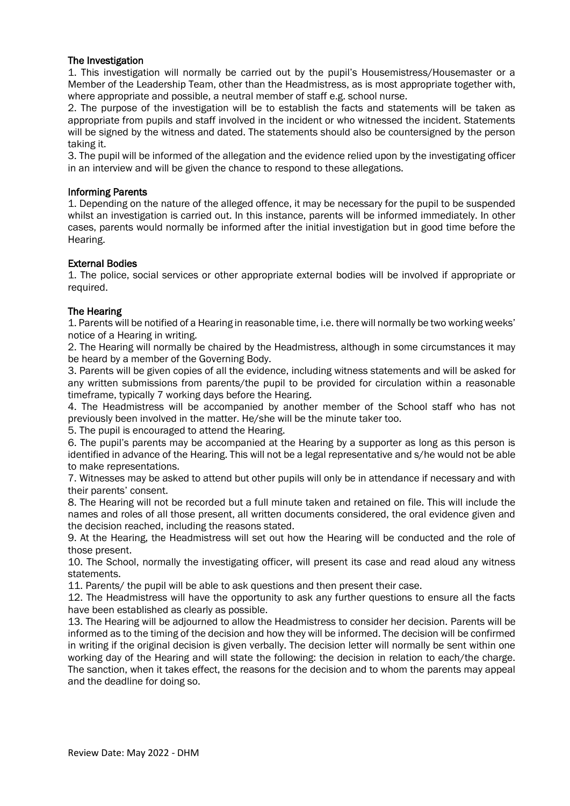### The Investigation

1. This investigation will normally be carried out by the pupil's Housemistress/Housemaster or a Member of the Leadership Team, other than the Headmistress, as is most appropriate together with, where appropriate and possible, a neutral member of staff e.g. school nurse.

2. The purpose of the investigation will be to establish the facts and statements will be taken as appropriate from pupils and staff involved in the incident or who witnessed the incident. Statements will be signed by the witness and dated. The statements should also be countersigned by the person taking it.

3. The pupil will be informed of the allegation and the evidence relied upon by the investigating officer in an interview and will be given the chance to respond to these allegations.

#### Informing Parents

1. Depending on the nature of the alleged offence, it may be necessary for the pupil to be suspended whilst an investigation is carried out. In this instance, parents will be informed immediately. In other cases, parents would normally be informed after the initial investigation but in good time before the Hearing.

### External Bodies

1. The police, social services or other appropriate external bodies will be involved if appropriate or required.

### The Hearing

1. Parents will be notified of a Hearing in reasonable time, i.e. there will normally be two working weeks' notice of a Hearing in writing.

2. The Hearing will normally be chaired by the Headmistress, although in some circumstances it may be heard by a member of the Governing Body.

3. Parents will be given copies of all the evidence, including witness statements and will be asked for any written submissions from parents/the pupil to be provided for circulation within a reasonable timeframe, typically 7 working days before the Hearing.

4. The Headmistress will be accompanied by another member of the School staff who has not previously been involved in the matter. He/she will be the minute taker too.

5. The pupil is encouraged to attend the Hearing.

6. The pupil's parents may be accompanied at the Hearing by a supporter as long as this person is identified in advance of the Hearing. This will not be a legal representative and s/he would not be able to make representations.

7. Witnesses may be asked to attend but other pupils will only be in attendance if necessary and with their parents' consent.

8. The Hearing will not be recorded but a full minute taken and retained on file. This will include the names and roles of all those present, all written documents considered, the oral evidence given and the decision reached, including the reasons stated.

9. At the Hearing, the Headmistress will set out how the Hearing will be conducted and the role of those present.

10. The School, normally the investigating officer, will present its case and read aloud any witness statements.

11. Parents/ the pupil will be able to ask questions and then present their case.

12. The Headmistress will have the opportunity to ask any further questions to ensure all the facts have been established as clearly as possible.

13. The Hearing will be adjourned to allow the Headmistress to consider her decision. Parents will be informed as to the timing of the decision and how they will be informed. The decision will be confirmed in writing if the original decision is given verbally. The decision letter will normally be sent within one working day of the Hearing and will state the following: the decision in relation to each/the charge. The sanction, when it takes effect, the reasons for the decision and to whom the parents may appeal and the deadline for doing so.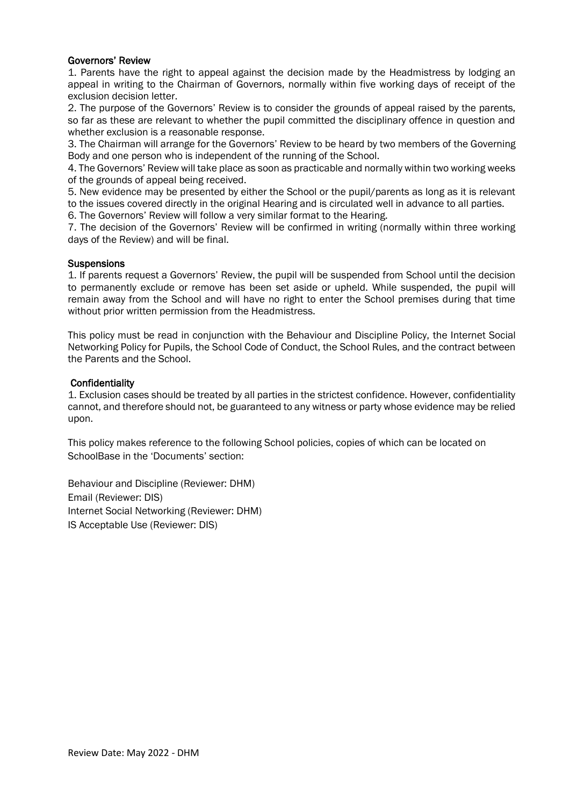#### Governors' Review

1. Parents have the right to appeal against the decision made by the Headmistress by lodging an appeal in writing to the Chairman of Governors, normally within five working days of receipt of the exclusion decision letter.

2. The purpose of the Governors' Review is to consider the grounds of appeal raised by the parents, so far as these are relevant to whether the pupil committed the disciplinary offence in question and whether exclusion is a reasonable response.

3. The Chairman will arrange for the Governors' Review to be heard by two members of the Governing Body and one person who is independent of the running of the School.

4. The Governors' Review will take place as soon as practicable and normally within two working weeks of the grounds of appeal being received.

5. New evidence may be presented by either the School or the pupil/parents as long as it is relevant to the issues covered directly in the original Hearing and is circulated well in advance to all parties.

6. The Governors' Review will follow a very similar format to the Hearing.

7. The decision of the Governors' Review will be confirmed in writing (normally within three working days of the Review) and will be final.

### **Suspensions**

1. If parents request a Governors' Review, the pupil will be suspended from School until the decision to permanently exclude or remove has been set aside or upheld. While suspended, the pupil will remain away from the School and will have no right to enter the School premises during that time without prior written permission from the Headmistress.

This policy must be read in conjunction with the Behaviour and Discipline Policy, the Internet Social Networking Policy for Pupils, the School Code of Conduct, the School Rules, and the contract between the Parents and the School.

### **Confidentiality**

1. Exclusion cases should be treated by all parties in the strictest confidence. However, confidentiality cannot, and therefore should not, be guaranteed to any witness or party whose evidence may be relied upon.

This policy makes reference to the following School policies, copies of which can be located on SchoolBase in the 'Documents' section:

Behaviour and Discipline (Reviewer: DHM) Email (Reviewer: DIS) Internet Social Networking (Reviewer: DHM) IS Acceptable Use (Reviewer: DIS)